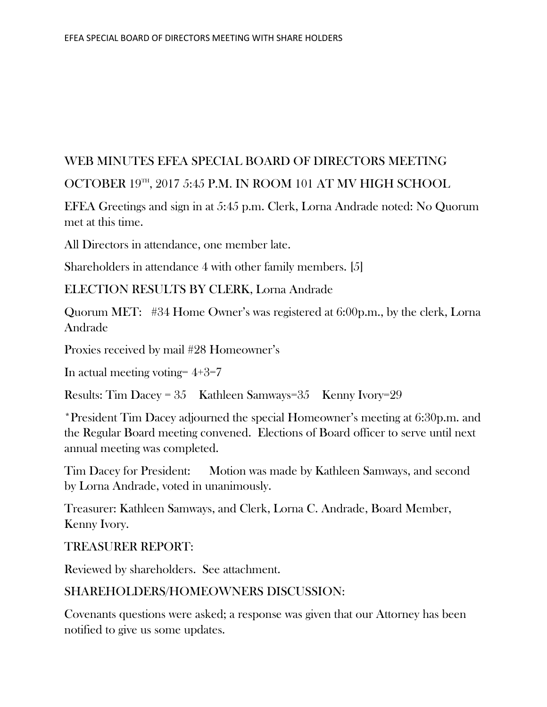# WEB MINUTES EFEA SPECIAL BOARD OF DIRECTORS MEETING

# OCTOBER 19TH, 2017 5:45 P.M. IN ROOM 101 AT MV HIGH SCHOOL

EFEA Greetings and sign in at 5:45 p.m. Clerk, Lorna Andrade noted: No Quorum met at this time.

All Directors in attendance, one member late.

Shareholders in attendance 4 with other family members. [5]

#### ELECTION RESULTS BY CLERK, Lorna Andrade

Quorum MET: #34 Home Owner's was registered at 6:00p.m., by the clerk, Lorna Andrade

Proxies received by mail #28 Homeowner's

In actual meeting voting  $4+3=7$ 

Results: Tim Dacey = 35 Kathleen Samways=35 Kenny Ivory=29

\*President Tim Dacey adjourned the special Homeowner's meeting at 6:30p.m. and the Regular Board meeting convened. Elections of Board officer to serve until next annual meeting was completed.

Tim Dacey for President: Motion was made by Kathleen Samways, and second by Lorna Andrade, voted in unanimously.

Treasurer: Kathleen Samways, and Clerk, Lorna C. Andrade, Board Member, Kenny Ivory.

#### TREASURER REPORT:

Reviewed by shareholders. See attachment.

#### SHAREHOLDERS/HOMEOWNERS DISCUSSION:

Covenants questions were asked; a response was given that our Attorney has been notified to give us some updates.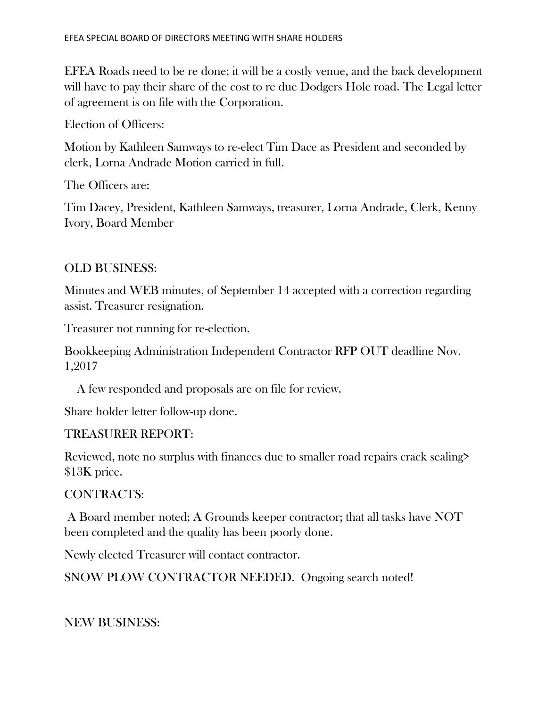EFEA Roads need to be re done; it will be a costly venue, and the back development will have to pay their share of the cost to re due Dodgers Hole road. The Legal letter of agreement is on file with the Corporation.

Election of Officers:

Motion by Kathleen Samways to re-elect Tim Dace as President and seconded by clerk, Lorna Andrade Motion carried in full.

The Officers are:

Tim Dacey, President, Kathleen Samways, treasurer, Lorna Andrade, Clerk, Kenny Ivory, Board Member

## OLD BUSINESS:

Minutes and WEB minutes, of September 14 accepted with a correction regarding assist. Treasurer resignation.

Treasurer not running for re-election.

Bookkeeping Administration Independent Contractor RFP OUT deadline Nov. 1,2017

A few responded and proposals are on file for review.

Share holder letter follow-up done.

## TREASURER REPORT:

Reviewed, note no surplus with finances due to smaller road repairs crack sealing> \$13K price.

# CONTRACTS:

A Board member noted; A Grounds keeper contractor; that all tasks have NOT been completed and the quality has been poorly done.

Newly elected Treasurer will contact contractor.

SNOW PLOW CONTRACTOR NEEDED. Ongoing search noted!

NEW BUSINESS: